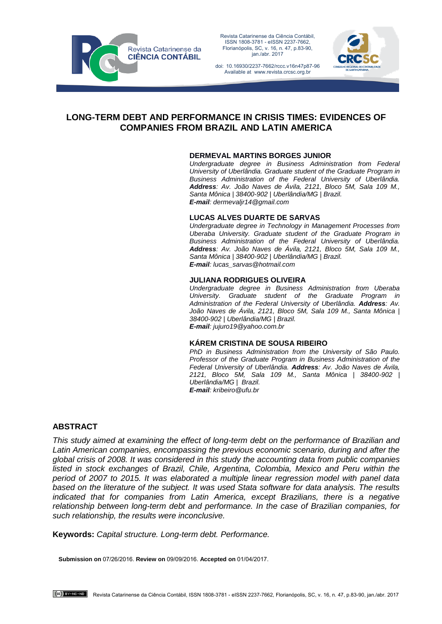

Revista Catarinense da Ciência Contábil, ISSN 1808-3781 - eISSN 2237-7662, Florianópolis, SC, v. 16, n. 47, p.83-90, jan./abr. 2017

doi: 10.16930/2237-7662/rccc.v16n47p87-96 Available at www.revista.crcsc.org.br



# **LONG-TERM DEBT AND PERFORMANCE IN CRISIS TIMES: EVIDENCES OF COMPANIES FROM BRAZIL AND LATIN AMERICA**

#### **DERMEVAL MARTINS BORGES JUNIOR**

*Undergraduate degree in Business Administration from Federal University of Uberlândia. Graduate student of the Graduate Program in Business Administration of the Federal University of Uberlândia. Address: Av. João Naves de Ávila, 2121, Bloco 5M, Sala 109 M., Santa Mônica | 38400-902 | Uberlândia/MG | Brazil. E-mail: dermevaljr14@gmail.com*

#### **LUCAS ALVES DUARTE DE SARVAS**

*Undergraduate degree in Technology in Management Processes from Uberaba University. Graduate student of the Graduate Program in Business Administration of the Federal University of Uberlândia. Address: Av. João Naves de Ávila, 2121, Bloco 5M, Sala 109 M., Santa Mônica | 38400-902 | Uberlândia/MG | Brazil. E-mail: lucas\_sarvas@hotmail.com*

### **JULIANA RODRIGUES OLIVEIRA**

*Undergraduate degree in Business Administration from Uberaba University. Graduate student of the Graduate Program in Administration of the Federal University of Uberlândia. Address: Av. João Naves de Ávila, 2121, Bloco 5M, Sala 109 M., Santa Mônica | 38400-902 | Uberlândia/MG | Brazil. E-mail: jujuro19@yahoo.com.br*

#### **KÁREM CRISTINA DE SOUSA RIBEIRO**

*PhD in Business Administration from the University of São Paulo. Professor of the Graduate Program in Business Administration of the Federal University of Uberlândia. Address: Av. João Naves de Ávila, 2121, Bloco 5M, Sala 109 M., Santa Mônica | 38400-902 | Uberlândia/MG | Brazil. E-mail: kribeiro@ufu.br*

## **ABSTRACT**

*This study aimed at examining the effect of long-term debt on the performance of Brazilian and Latin American companies, encompassing the previous economic scenario, during and after the global crisis of 2008. It was considered in this study the accounting data from public companies listed in stock exchanges of Brazil, Chile, Argentina, Colombia, Mexico and Peru within the period of 2007 to 2015. It was elaborated a multiple linear regression model with panel data based on the literature of the subject. It was used Stata software for data analysis. The results indicated that for companies from Latin America, except Brazilians, there is a negative relationship between long-term debt and performance. In the case of Brazilian companies, for such relationship, the results were inconclusive.* 

**Keywords:** *Capital structure. Long-term debt. Performance.* 

**Submission on** 07/26/2016. **Review on** 09/09/2016. **Accepted on** 01/04/2017.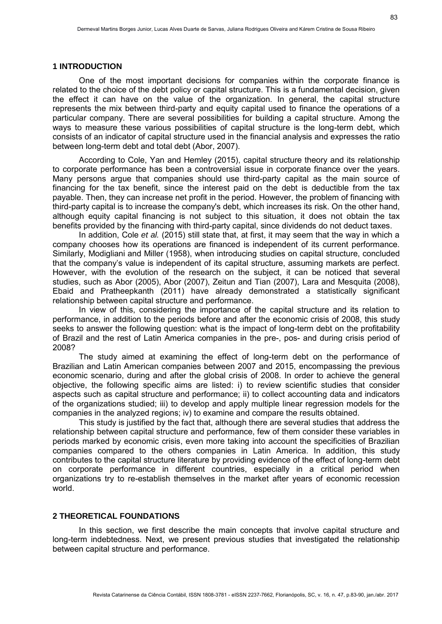#### **1 INTRODUCTION**

One of the most important decisions for companies within the corporate finance is related to the choice of the debt policy or capital structure. This is a fundamental decision, given the effect it can have on the value of the organization. In general, the capital structure represents the mix between third-party and equity capital used to finance the operations of a particular company. There are several possibilities for building a capital structure. Among the ways to measure these various possibilities of capital structure is the long-term debt, which consists of an indicator of capital structure used in the financial analysis and expresses the ratio between long-term debt and total debt (Abor, 2007).

According to Cole, Yan and Hemley (2015), capital structure theory and its relationship to corporate performance has been a controversial issue in corporate finance over the years. Many persons argue that companies should use third-party capital as the main source of financing for the tax benefit, since the interest paid on the debt is deductible from the tax payable. Then, they can increase net profit in the period. However, the problem of financing with third-party capital is to increase the company's debt, which increases its risk. On the other hand, although equity capital financing is not subject to this situation, it does not obtain the tax benefits provided by the financing with third-party capital, since dividends do not deduct taxes.

In addition, Cole *et al.* (2015) still state that, at first, it may seem that the way in which a company chooses how its operations are financed is independent of its current performance. Similarly, Modigliani and Miller (1958), when introducing studies on capital structure, concluded that the company's value is independent of its capital structure, assuming markets are perfect. However, with the evolution of the research on the subject, it can be noticed that several studies, such as Abor (2005), Abor (2007), Zeitun and Tian (2007), Lara and Mesquita (2008), Ebaid and Pratheepkanth (2011) have already demonstrated a statistically significant relationship between capital structure and performance.

In view of this, considering the importance of the capital structure and its relation to performance, in addition to the periods before and after the economic crisis of 2008, this study seeks to answer the following question: what is the impact of long-term debt on the profitability of Brazil and the rest of Latin America companies in the pre-, pos- and during crisis period of 2008?

The study aimed at examining the effect of long-term debt on the performance of Brazilian and Latin American companies between 2007 and 2015, encompassing the previous economic scenario, during and after the global crisis of 2008. In order to achieve the general objective, the following specific aims are listed: i) to review scientific studies that consider aspects such as capital structure and performance; ii) to collect accounting data and indicators of the organizations studied; iii) to develop and apply multiple linear regression models for the companies in the analyzed regions; iv) to examine and compare the results obtained.

This study is justified by the fact that, although there are several studies that address the relationship between capital structure and performance, few of them consider these variables in periods marked by economic crisis, even more taking into account the specificities of Brazilian companies compared to the others companies in Latin America. In addition, this study contributes to the capital structure literature by providing evidence of the effect of long-term debt on corporate performance in different countries, especially in a critical period when organizations try to re-establish themselves in the market after years of economic recession world.

### **2 THEORETICAL FOUNDATIONS**

In this section, we first describe the main concepts that involve capital structure and long-term indebtedness. Next, we present previous studies that investigated the relationship between capital structure and performance.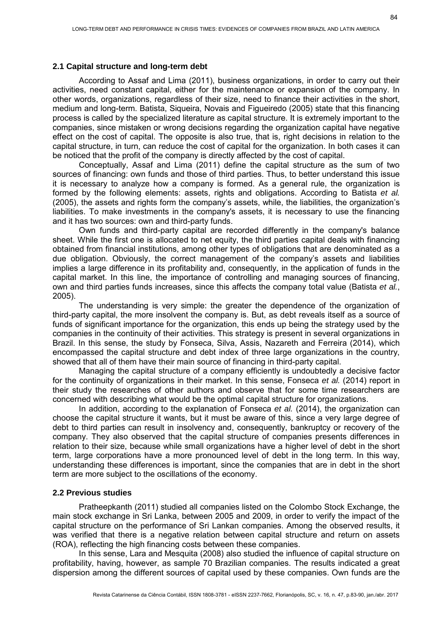### **2.1 Capital structure and long-term debt**

According to Assaf and Lima (2011), business organizations, in order to carry out their activities, need constant capital, either for the maintenance or expansion of the company. In other words, organizations, regardless of their size, need to finance their activities in the short, medium and long-term. Batista, Siqueira, Novais and Figueiredo (2005) state that this financing process is called by the specialized literature as capital structure. It is extremely important to the companies, since mistaken or wrong decisions regarding the organization capital have negative effect on the cost of capital. The opposite is also true, that is, right decisions in relation to the capital structure, in turn, can reduce the cost of capital for the organization. In both cases it can be noticed that the profit of the company is directly affected by the cost of capital.

Conceptually, Assaf and Lima (2011) define the capital structure as the sum of two sources of financing: own funds and those of third parties. Thus, to better understand this issue it is necessary to analyze how a company is formed. As a general rule, the organization is formed by the following elements: assets, rights and obligations. According to Batista *et al.* (2005), the assets and rights form the company's assets, while, the liabilities, the organization's liabilities. To make investments in the company's assets, it is necessary to use the financing and it has two sources: own and third-party funds.

Own funds and third-party capital are recorded differently in the company's balance sheet. While the first one is allocated to net equity, the third parties capital deals with financing obtained from financial institutions, among other types of obligations that are denominated as a due obligation. Obviously, the correct management of the company's assets and liabilities implies a large difference in its profitability and, consequently, in the application of funds in the capital market. In this line, the importance of controlling and managing sources of financing, own and third parties funds increases, since this affects the company total value (Batista *et al.*, 2005).

The understanding is very simple: the greater the dependence of the organization of third-party capital, the more insolvent the company is. But, as debt reveals itself as a source of funds of significant importance for the organization, this ends up being the strategy used by the companies in the continuity of their activities. This strategy is present in several organizations in Brazil. In this sense, the study by Fonseca, Silva, Assis, Nazareth and Ferreira (2014), which encompassed the capital structure and debt index of three large organizations in the country, showed that all of them have their main source of financing in third-party capital.

Managing the capital structure of a company efficiently is undoubtedly a decisive factor for the continuity of organizations in their market. In this sense, Fonseca *et al.* (2014) report in their study the researches of other authors and observe that for some time researchers are concerned with describing what would be the optimal capital structure for organizations.

In addition, according to the explanation of Fonseca *et al.* (2014), the organization can choose the capital structure it wants, but it must be aware of this, since a very large degree of debt to third parties can result in insolvency and, consequently, bankruptcy or recovery of the company. They also observed that the capital structure of companies presents differences in relation to their size, because while small organizations have a higher level of debt in the short term, large corporations have a more pronounced level of debt in the long term. In this way, understanding these differences is important, since the companies that are in debt in the short term are more subject to the oscillations of the economy.

#### **2.2 Previous studies**

Pratheepkanth (2011) studied all companies listed on the Colombo Stock Exchange, the main stock exchange in Sri Lanka, between 2005 and 2009, in order to verify the impact of the capital structure on the performance of Sri Lankan companies. Among the observed results, it was verified that there is a negative relation between capital structure and return on assets (ROA), reflecting the high financing costs between these companies.

In this sense, Lara and Mesquita (2008) also studied the influence of capital structure on profitability, having, however, as sample 70 Brazilian companies. The results indicated a great dispersion among the different sources of capital used by these companies. Own funds are the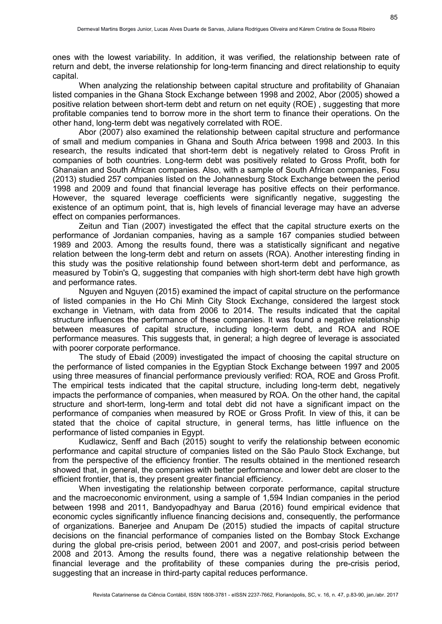ones with the lowest variability. In addition, it was verified, the relationship between rate of return and debt, the inverse relationship for long-term financing and direct relationship to equity capital.

When analyzing the relationship between capital structure and profitability of Ghanaian listed companies in the Ghana Stock Exchange between 1998 and 2002, Abor (2005) showed a positive relation between short-term debt and return on net equity (ROE) , suggesting that more profitable companies tend to borrow more in the short term to finance their operations. On the other hand, long-term debt was negatively correlated with ROE.

Abor (2007) also examined the relationship between capital structure and performance of small and medium companies in Ghana and South Africa between 1998 and 2003. In this research, the results indicated that short-term debt is negatively related to Gross Profit in companies of both countries. Long-term debt was positively related to Gross Profit, both for Ghanaian and South African companies. Also, with a sample of South African companies, Fosu (2013) studied 257 companies listed on the Johannesburg Stock Exchange between the period 1998 and 2009 and found that financial leverage has positive effects on their performance. However, the squared leverage coefficients were significantly negative, suggesting the existence of an optimum point, that is, high levels of financial leverage may have an adverse effect on companies performances.

Zeitun and Tian (2007) investigated the effect that the capital structure exerts on the performance of Jordanian companies, having as a sample 167 companies studied between 1989 and 2003. Among the results found, there was a statistically significant and negative relation between the long-term debt and return on assets (ROA). Another interesting finding in this study was the positive relationship found between short-term debt and performance, as measured by Tobin's Q, suggesting that companies with high short-term debt have high growth and performance rates.

Nguyen and Nguyen (2015) examined the impact of capital structure on the performance of listed companies in the Ho Chi Minh City Stock Exchange, considered the largest stock exchange in Vietnam, with data from 2006 to 2014. The results indicated that the capital structure influences the performance of these companies. It was found a negative relationship between measures of capital structure, including long-term debt, and ROA and ROE performance measures. This suggests that, in general; a high degree of leverage is associated with poorer corporate performance.

The study of Ebaid (2009) investigated the impact of choosing the capital structure on the performance of listed companies in the Egyptian Stock Exchange between 1997 and 2005 using three measures of financial performance previously verified: ROA, ROE and Gross Profit. The empirical tests indicated that the capital structure, including long-term debt, negatively impacts the performance of companies, when measured by ROA. On the other hand, the capital structure and short-term, long-term and total debt did not have a significant impact on the performance of companies when measured by ROE or Gross Profit. In view of this, it can be stated that the choice of capital structure, in general terms, has little influence on the performance of listed companies in Egypt.

Kudlawicz, Senff and Bach (2015) sought to verify the relationship between economic performance and capital structure of companies listed on the São Paulo Stock Exchange, but from the perspective of the efficiency frontier. The results obtained in the mentioned research showed that, in general, the companies with better performance and lower debt are closer to the efficient frontier, that is, they present greater financial efficiency.

When investigating the relationship between corporate performance, capital structure and the macroeconomic environment, using a sample of 1,594 Indian companies in the period between 1998 and 2011, Bandyopadhyay and Barua (2016) found empirical evidence that economic cycles significantly influence financing decisions and, consequently, the performance of organizations. Banerjee and Anupam De (2015) studied the impacts of capital structure decisions on the financial performance of companies listed on the Bombay Stock Exchange during the global pre-crisis period, between 2001 and 2007, and post-crisis period between 2008 and 2013. Among the results found, there was a negative relationship between the financial leverage and the profitability of these companies during the pre-crisis period, suggesting that an increase in third-party capital reduces performance.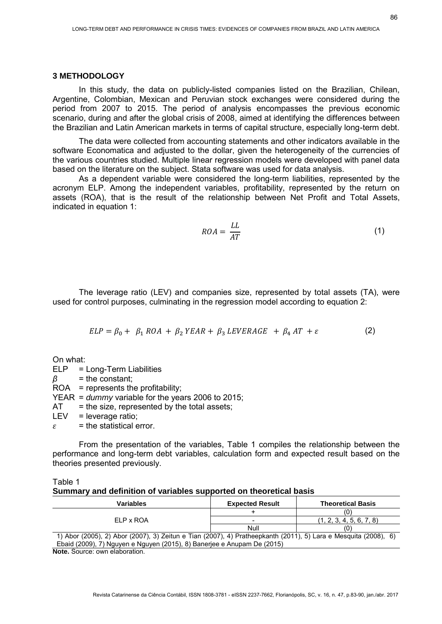#### **3 METHODOLOGY**

In this study, the data on publicly-listed companies listed on the Brazilian, Chilean, Argentine, Colombian, Mexican and Peruvian stock exchanges were considered during the period from 2007 to 2015. The period of analysis encompasses the previous economic scenario, during and after the global crisis of 2008, aimed at identifying the differences between the Brazilian and Latin American markets in terms of capital structure, especially long-term debt.

The data were collected from accounting statements and other indicators available in the software Economatica and adjusted to the dollar, given the heterogeneity of the currencies of the various countries studied. Multiple linear regression models were developed with panel data based on the literature on the subject. Stata software was used for data analysis.

As a dependent variable were considered the long-term liabilities, represented by the acronym ELP. Among the independent variables, profitability, represented by the return on assets (ROA), that is the result of the relationship between Net Profit and Total Assets, indicated in equation 1:

$$
ROA = \frac{LL}{AT}
$$
 (1)

The leverage ratio (LEV) and companies size, represented by total assets (TA), were used for control purposes, culminating in the regression model according to equation 2:

$$
ELP = \beta_0 + \beta_1 ROA + \beta_2 YEAR + \beta_3 LEVERAGE + \beta_4 AT + \varepsilon
$$
 (2)

On what:

ELP = Long-Term Liabilities  $\beta$  = the constant; ROA = represents the profitability; YEAR = *dummy* variable for the years 2006 to 2015;  $AT =$  the size, represented by the total assets;  $LEV = leverage ratio;$  $\varepsilon$  = the statistical error.

From the presentation of the variables, Table 1 compiles the relationship between the performance and long-term debt variables, calculation form and expected result based on the theories presented previously.

| Table 1 |                                                                    |  |
|---------|--------------------------------------------------------------------|--|
|         | Summary and definition of variables supported on theoretical basis |  |

| Variables                                                                                                       | <b>Expected Result</b> | <b>Theoretical Basis</b> |  |  |  |
|-----------------------------------------------------------------------------------------------------------------|------------------------|--------------------------|--|--|--|
|                                                                                                                 |                        |                          |  |  |  |
| ELP x ROA                                                                                                       |                        | (1, 2, 3, 4, 5, 6, 7, 8) |  |  |  |
|                                                                                                                 | Null                   |                          |  |  |  |
| 1) Abor (2005), 2) Abor (2007), 3) Zeitun e Tian (2007), 4) Pratheepkanth (2011), 5) Lara e Mesquita (2008), 6) |                        |                          |  |  |  |
| Ebaid (2009), 7) Nguyen e Nguyen (2015), 8) Banerjee e Anupam De (2015)                                         |                        |                          |  |  |  |
| Mata Osman sina alah saatta s                                                                                   |                        |                          |  |  |  |

**Note.** Source: own elaboration.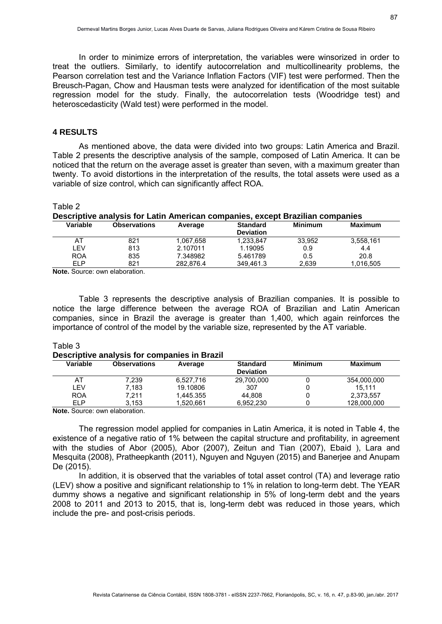In order to minimize errors of interpretation, the variables were winsorized in order to treat the outliers. Similarly, to identify autocorrelation and multicollinearity problems, the Pearson correlation test and the Variance Inflation Factors (VIF) test were performed. Then the Breusch-Pagan, Chow and Hausman tests were analyzed for identification of the most suitable regression model for the study. Finally, the autocorrelation tests (Woodridge test) and heteroscedasticity (Wald test) were performed in the model.

### **4 RESULTS**

As mentioned above, the data were divided into two groups: Latin America and Brazil. Table 2 presents the descriptive analysis of the sample, composed of Latin America. It can be noticed that the return on the average asset is greater than seven, with a maximum greater than twenty. To avoid distortions in the interpretation of the results, the total assets were used as a variable of size control, which can significantly affect ROA.

### Table 2

| Descriptive analysis for Latin American companies, except Brazilian companies |                     |           |                                     |                |                |
|-------------------------------------------------------------------------------|---------------------|-----------|-------------------------------------|----------------|----------------|
| Variable                                                                      | <b>Observations</b> | Average   | <b>Standard</b><br><b>Deviation</b> | <b>Minimum</b> | <b>Maximum</b> |
| AT                                                                            | 821                 | 1,067,658 | 1,233,847                           | 33.952         | 3,558,161      |
| I FV                                                                          | 813                 | 2.107011  | 1.19095                             | 0.9            | 4.4            |
| <b>ROA</b>                                                                    | 835                 | 7.348982  | 5.461789                            | 0.5            | 20.8           |
| FI P                                                                          | 821                 | 282.876.4 | 349.461.3                           | 2,639          | 1,016,505      |

**Note.** Source: own elaboration.

Table 3 represents the descriptive analysis of Brazilian companies. It is possible to notice the large difference between the average ROA of Brazilian and Latin American companies, since in Brazil the average is greater than 1,400, which again reinforces the importance of control of the model by the variable size, represented by the AT variable.

#### Table 3 **Descriptive analysis for companies in Brazil**

| <b>Observations</b> | Average   | <b>Standard</b><br><b>Deviation</b> | <b>Minimum</b>                                 | <b>Maximum</b> |
|---------------------|-----------|-------------------------------------|------------------------------------------------|----------------|
| 7.239               | 6,527,716 | 29,700,000                          |                                                | 354,000,000    |
| 7.183               | 19.10806  | 307                                 |                                                | 15.111         |
| 7.211               | 1.445.355 | 44.808                              |                                                | 2.373.557      |
| 3.153               | 1.520.661 | 6.952.230                           |                                                | 128.000.000    |
|                     |           |                                     | <b>PUSSIBLISH AND IS TO COMPAINED IN PIRAM</b> |                |

**Note.** Source: own elaboration.

The regression model applied for companies in Latin America, it is noted in Table 4, the existence of a negative ratio of 1% between the capital structure and profitability, in agreement with the studies of Abor (2005), Abor (2007), Zeitun and Tian (2007), Ebaid ), Lara and Mesquita (2008), Pratheepkanth (2011), Nguyen and Nguyen (2015) and Banerjee and Anupam De (2015).

In addition, it is observed that the variables of total asset control (TA) and leverage ratio (LEV) show a positive and significant relationship to 1% in relation to long-term debt. The YEAR dummy shows a negative and significant relationship in 5% of long-term debt and the years 2008 to 2011 and 2013 to 2015, that is, long-term debt was reduced in those years, which include the pre- and post-crisis periods.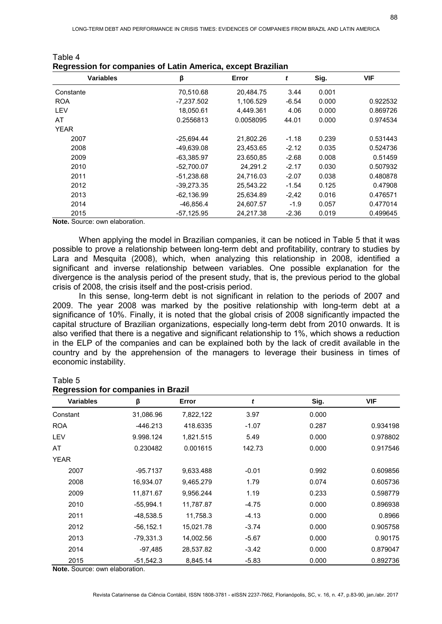| <b>Variables</b> | β            | Error     | t       | Sig.  | <b>VIF</b> |
|------------------|--------------|-----------|---------|-------|------------|
| Constante        | 70,510.68    | 20.484.75 | 3.44    | 0.001 |            |
| <b>ROA</b>       | -7,237.502   | 1.106.529 | $-6.54$ | 0.000 | 0.922532   |
| LEV              | 18,050.61    | 4,449.361 | 4.06    | 0.000 | 0.869726   |
| AT               | 0.2556813    | 0.0058095 | 44.01   | 0.000 | 0.974534   |
| <b>YEAR</b>      |              |           |         |       |            |
| 2007             | -25.694.44   | 21.802.26 | $-1.18$ | 0.239 | 0.531443   |
| 2008             | -49,639.08   | 23.453.65 | $-2.12$ | 0.035 | 0.524736   |
| 2009             | $-63,385.97$ | 23.650,85 | $-2.68$ | 0.008 | 0.51459    |
| 2010             | $-52.700.07$ | 24.291.2  | $-2.17$ | 0.030 | 0.507932   |
| 2011             | $-51,238.68$ | 24,716.03 | $-2.07$ | 0.038 | 0.480878   |
| 2012             | $-39,273.35$ | 25,543.22 | $-1.54$ | 0.125 | 0.47908    |
| 2013             | $-62.136.99$ | 25.634.89 | $-2,42$ | 0.016 | 0.476571   |
| 2014             | -46,856.4    | 24,607.57 | $-1.9$  | 0.057 | 0.477014   |
| 2015             | $-57,125.95$ | 24,217.38 | $-2.36$ | 0.019 | 0.499645   |

| Table 4                                                     |  |
|-------------------------------------------------------------|--|
| Regression for companies of Latin America, except Brazilian |  |

**Note.** Source: own elaboration.

When applying the model in Brazilian companies, it can be noticed in Table 5 that it was possible to prove a relationship between long-term debt and profitability, contrary to studies by Lara and Mesquita (2008), which, when analyzing this relationship in 2008, identified a significant and inverse relationship between variables. One possible explanation for the divergence is the analysis period of the present study, that is, the previous period to the global crisis of 2008, the crisis itself and the post-crisis period.

In this sense, long-term debt is not significant in relation to the periods of 2007 and 2009. The year 2008 was marked by the positive relationship with long-term debt at a significance of 10%. Finally, it is noted that the global crisis of 2008 significantly impacted the capital structure of Brazilian organizations, especially long-term debt from 2010 onwards. It is also verified that there is a negative and significant relationship to 1%, which shows a reduction in the ELP of the companies and can be explained both by the lack of credit available in the country and by the apprehension of the managers to leverage their business in times of economic instability.

### Table 5

### **Regression for companies in Brazil**

| <b>Variables</b> | β            | Error     | t       | Sig.  | <b>VIF</b> |
|------------------|--------------|-----------|---------|-------|------------|
| Constant         | 31,086.96    | 7,822,122 | 3.97    | 0.000 |            |
| <b>ROA</b>       | -446.213     | 418.6335  | $-1.07$ | 0.287 | 0.934198   |
| LEV              | 9.998.124    | 1,821.515 | 5.49    | 0.000 | 0.978802   |
| AT               | 0.230482     | 0.001615  | 142.73  | 0.000 | 0.917546   |
| <b>YEAR</b>      |              |           |         |       |            |
| 2007             | $-95.7137$   | 9,633.488 | $-0.01$ | 0.992 | 0.609856   |
| 2008             | 16,934.07    | 9.465.279 | 1.79    | 0.074 | 0.605736   |
| 2009             | 11,871.67    | 9,956.244 | 1.19    | 0.233 | 0.598779   |
| 2010             | $-55,994.1$  | 11,787.87 | $-4.75$ | 0.000 | 0.896938   |
| 2011             | $-48,538.5$  | 11,758.3  | $-4.13$ | 0.000 | 0.8966     |
| 2012             | $-56, 152.1$ | 15,021.78 | $-3.74$ | 0.000 | 0.905758   |
| 2013             | $-79,331.3$  | 14,002.56 | $-5.67$ | 0.000 | 0.90175    |
| 2014             | -97,485      | 28,537.82 | $-3.42$ | 0.000 | 0.879047   |
| 2015             | $-51,542.3$  | 8,845.14  | $-5.83$ | 0.000 | 0.892736   |

**Note.** Source: own elaboration.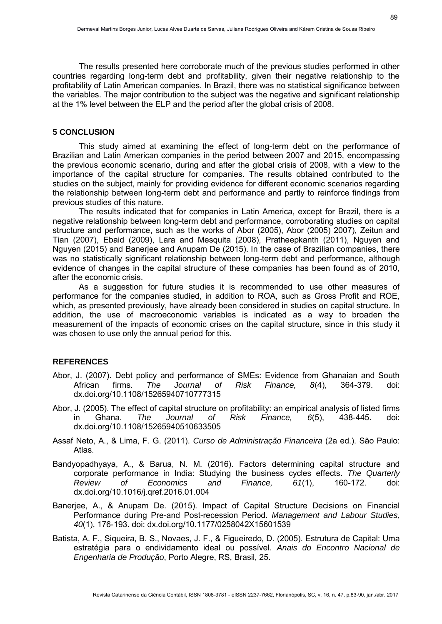The results presented here corroborate much of the previous studies performed in other countries regarding long-term debt and profitability, given their negative relationship to the profitability of Latin American companies. In Brazil, there was no statistical significance between the variables. The major contribution to the subject was the negative and significant relationship at the 1% level between the ELP and the period after the global crisis of 2008.

### **5 CONCLUSION**

This study aimed at examining the effect of long-term debt on the performance of Brazilian and Latin American companies in the period between 2007 and 2015, encompassing the previous economic scenario, during and after the global crisis of 2008, with a view to the importance of the capital structure for companies. The results obtained contributed to the studies on the subject, mainly for providing evidence for different economic scenarios regarding the relationship between long-term debt and performance and partly to reinforce findings from previous studies of this nature.

The results indicated that for companies in Latin America, except for Brazil, there is a negative relationship between long-term debt and performance, corroborating studies on capital structure and performance, such as the works of Abor (2005), Abor (2005) 2007), Zeitun and Tian (2007), Ebaid (2009), Lara and Mesquita (2008), Pratheepkanth (2011), Nguyen and Nguyen (2015) and Banerjee and Anupam De (2015). In the case of Brazilian companies, there was no statistically significant relationship between long-term debt and performance, although evidence of changes in the capital structure of these companies has been found as of 2010, after the economic crisis.

As a suggestion for future studies it is recommended to use other measures of performance for the companies studied, in addition to ROA, such as Gross Profit and ROE, which, as presented previously, have already been considered in studies on capital structure. In addition, the use of macroeconomic variables is indicated as a way to broaden the measurement of the impacts of economic crises on the capital structure, since in this study it was chosen to use only the annual period for this.

### **REFERENCES**

- Abor, J. (2007). Debt policy and performance of SMEs: Evidence from Ghanaian and South African firms. *The Journal of Risk Finance, 8*(4), 364-379. doi: dx.doi.org/10.1108/15265940710777315
- Abor, J. (2005). The effect of capital structure on profitability: an empirical analysis of listed firms in Ghana. *The Journal of Risk Finance, 6*(5), 438-445. doi: dx.doi.org/10.1108/15265940510633505
- Assaf Neto, A., & Lima, F. G. (2011). *Curso de Administração Financeira* (2a ed.). São Paulo: Atlas.
- Bandyopadhyaya, A., & Barua, N. M. (2016). Factors determining capital structure and corporate performance in India: Studying the business cycles effects. *The Quarterly Review of Economics and Finance, 61*(1), 160-172. doi: dx.doi.org/10.1016/j.qref.2016.01.004
- Banerjee, A., & Anupam De. (2015). Impact of Capital Structure Decisions on Financial Performance during Pre-and Post-recession Period. *Management and Labour Studies, 40*(1), 176-193. doi: dx.doi.org/10.1177/0258042X15601539
- Batista, A. F., Siqueira, B. S., Novaes, J. F., & Figueiredo, D. (2005). Estrutura de Capital: Uma estratégia para o endividamento ideal ou possível. *Anais do Encontro Nacional de Engenharia de Produção*, Porto Alegre, RS, Brasil, 25.